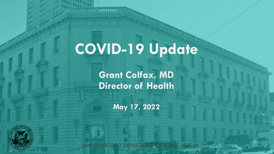# **COVID-19 Update**

 $\frac{1}{2} \frac{1}{2} \frac{1}{2} \frac{1}{2} \frac{1}{2} \frac{1}{2} \frac{1}{2} \frac{1}{2} \frac{1}{2} \frac{1}{2} \frac{1}{2} \frac{1}{2} \frac{1}{2} \frac{1}{2} \frac{1}{2} \frac{1}{2} \frac{1}{2} \frac{1}{2} \frac{1}{2} \frac{1}{2} \frac{1}{2} \frac{1}{2} \frac{1}{2} \frac{1}{2} \frac{1}{2} \frac{1}{2} \frac{1}{2} \frac{1}{2} \frac{1}{2} \frac{1}{2} \frac{1}{2} \frac{$ 

**ANGELIA** 

199999-9991 19999999999

**Grant Colfax, MD Director of Health**

**May 17, 2022**

SAN FRANCISCO DEPARTMENT OF PUBLIC HEALTH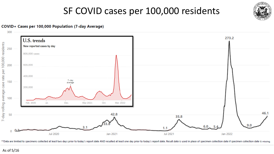### SF COVID cases per 100,000 residents



#### COVID+ Cases per 100,000 Population (7-day Average)



\*\*Data are limited to specimens collected at least two days prior to today's report date AND resulted at least one day prior to today's report date. Result date is used in place of specimen collection date if specimen coll

As of 5/16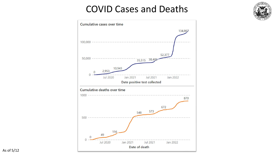### COVID Cases and Deaths

 $\overline{\text{col}}$ 

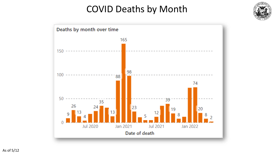### COVID Deaths by Month



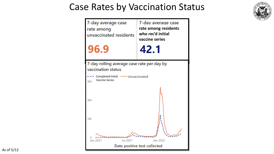### Case Rates by Vaccination Status



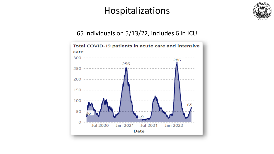### Hospitalizations



### 65 individuals on 5/13/22, includes 6 in ICU

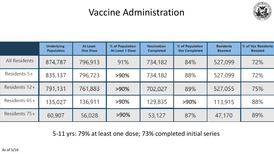### Vaccine Administration



|               | <b>Underlying</b><br><b>Population</b> | At Least<br><b>One Dose</b> | % of Population<br>At Least 1 Dose | <b>Vaccination</b><br><b>Completed</b> | % of Population<br><b>Vax Completed</b> | <b>Residents</b><br><b>Boosted</b> | % of Vax Residents<br><b>Boosted</b> |
|---------------|----------------------------------------|-----------------------------|------------------------------------|----------------------------------------|-----------------------------------------|------------------------------------|--------------------------------------|
| All Residents | 874,787                                | 796,913                     | 91%                                | 734,182                                | 84%                                     | 527,099                            | 72%                                  |
| Residents 5+  | 835,137                                | 796,723                     | $>90\%$                            | 734,182                                | 88%                                     | 527,099                            | 72%                                  |
| Residents 12+ | 791,131                                | 761,883                     | $>90\%$                            | 702,027                                | 89%                                     | 527,055                            | 75%                                  |
| Residents 65+ | 135,027                                | 136,911                     | $>90\%$                            | 129,835                                | $>90\%$                                 | 113,915                            | 88%                                  |
| Residents 75+ | 60,907                                 | 56,028                      | $>90\%$                            | 53,127                                 | 87%                                     | 47,170                             | 89%                                  |

5-11 yrs: 79% at least one dose; 73% completed initial series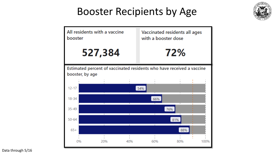## Booster Recipients by Age





Data through 5/16